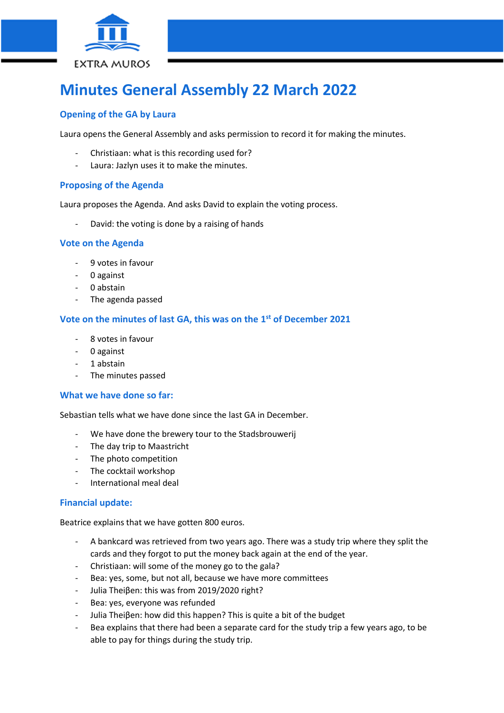

# **Minutes General Assembly 22 March 2022**

# **Opening of the GA by Laura**

Laura opens the General Assembly and asks permission to record it for making the minutes.

- Christiaan: what is this recording used for?
- Laura: Jazlyn uses it to make the minutes.

## **Proposing of the Agenda**

Laura proposes the Agenda. And asks David to explain the voting process.

- David: the voting is done by a raising of hands

#### **Vote on the Agenda**

- 9 votes in favour
- 0 against
- 0 abstain
- The agenda passed

## **Vote on the minutes of last GA, this was on the 1 st of December 2021**

- 8 votes in favour
- 0 against
- 1 abstain
- The minutes passed

#### **What we have done so far:**

Sebastian tells what we have done since the last GA in December.

- We have done the brewery tour to the Stadsbrouwerij
- The day trip to Maastricht
- The photo competition
- The cocktail workshop
- International meal deal

#### **Financial update:**

Beatrice explains that we have gotten 800 euros.

- A bankcard was retrieved from two years ago. There was a study trip where they split the cards and they forgot to put the money back again at the end of the year.
- Christiaan: will some of the money go to the gala?
- Bea: yes, some, but not all, because we have more committees
- Julia Theiβen: this was from 2019/2020 right?
- Bea: yes, everyone was refunded
- Julia Theiβen: how did this happen? This is quite a bit of the budget
- Bea explains that there had been a separate card for the study trip a few years ago, to be able to pay for things during the study trip.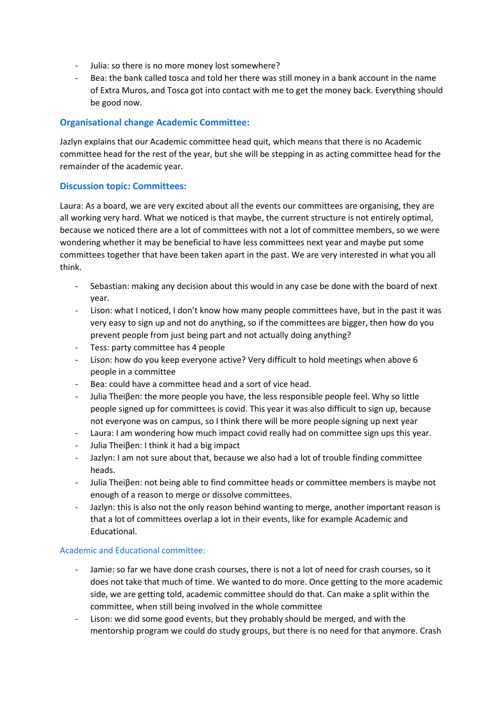- Julia: so there is no more money lost somewhere?
- Bea: the bank called tosca and told her there was still money in a bank account in the name of Extra Muros, and Tosca got into contact with me to get the money back. Everything should be good now.

## **Organisational change Academic Committee:**

Jazlyn explains that our Academic committee head quit, which means that there is no Academic committee head for the rest of the year, but she will be stepping in as acting committee head for the remainder of the academic year.

## **Discussion topic: Committees:**

Laura: As a board, we are very excited about all the events our committees are organising, they are all working very hard. What we noticed is that maybe, the current structure is not entirely optimal, because we noticed there are a lot of committees with not a lot of committee members, so we were wondering whether it may be beneficial to have less committees next year and maybe put some committees together that have been taken apart in the past. We are very interested in what you all think.

- Sebastian: making any decision about this would in any case be done with the board of next year.
- Lison: what I noticed, I don't know how many people committees have, but in the past it was very easy to sign up and not do anything, so if the committees are bigger, then how do you prevent people from just being part and not actually doing anything?
- Tess: party committee has 4 people
- Lison: how do you keep everyone active? Very difficult to hold meetings when above 6 people in a committee
- Bea: could have a committee head and a sort of vice head.
- Julia Theiβen: the more people you have, the less responsible people feel. Why so little people signed up for committees is covid. This year it was also difficult to sign up, because not everyone was on campus, so I think there will be more people signing up next year
- Laura: I am wondering how much impact covid really had on committee sign ups this year.
- Julia Theiβen: I think it had a big impact
- Jazlyn: I am not sure about that, because we also had a lot of trouble finding committee heads.
- Julia Theiβen: not being able to find committee heads or committee members is maybe not enough of a reason to merge or dissolve committees.
- Jazlyn: this is also not the only reason behind wanting to merge, another important reason is that a lot of committees overlap a lot in their events, like for example Academic and Educational.

#### Academic and Educational committee:

- Jamie: so far we have done crash courses, there is not a lot of need for crash courses, so it does not take that much of time. We wanted to do more. Once getting to the more academic side, we are getting told, academic committee should do that. Can make a split within the committee, when still being involved in the whole committee
- Lison: we did some good events, but they probably should be merged, and with the mentorship program we could do study groups, but there is no need for that anymore. Crash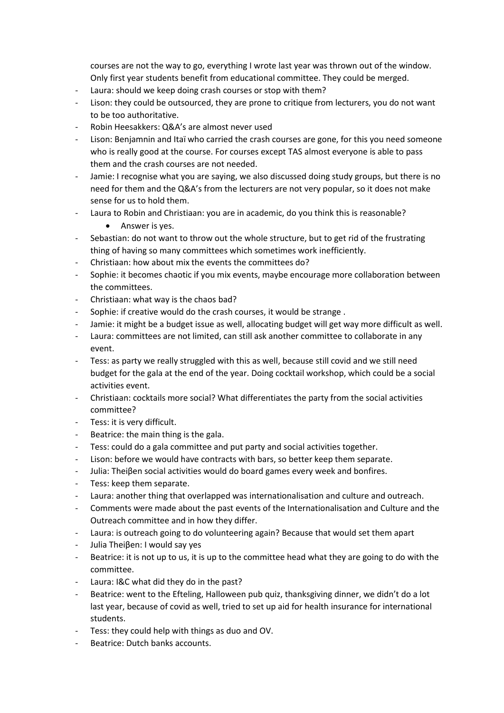courses are not the way to go, everything I wrote last year was thrown out of the window. Only first year students benefit from educational committee. They could be merged.

- Laura: should we keep doing crash courses or stop with them?
- Lison: they could be outsourced, they are prone to critique from lecturers, you do not want to be too authoritative.
- Robin Heesakkers: Q&A's are almost never used
- Lison: Benjamnin and Itaï who carried the crash courses are gone, for this you need someone who is really good at the course. For courses except TAS almost everyone is able to pass them and the crash courses are not needed.
- Jamie: I recognise what you are saying, we also discussed doing study groups, but there is no need for them and the Q&A's from the lecturers are not very popular, so it does not make sense for us to hold them.
- Laura to Robin and Christiaan: you are in academic, do you think this is reasonable?
	- Answer is yes.
- Sebastian: do not want to throw out the whole structure, but to get rid of the frustrating thing of having so many committees which sometimes work inefficiently.
- Christiaan: how about mix the events the committees do?
- Sophie: it becomes chaotic if you mix events, maybe encourage more collaboration between the committees.
- Christiaan: what way is the chaos bad?
- Sophie: if creative would do the crash courses, it would be strange .
- Jamie: it might be a budget issue as well, allocating budget will get way more difficult as well.
- Laura: committees are not limited, can still ask another committee to collaborate in any event.
- Tess: as party we really struggled with this as well, because still covid and we still need budget for the gala at the end of the year. Doing cocktail workshop, which could be a social activities event.
- Christiaan: cocktails more social? What differentiates the party from the social activities committee?
- Tess: it is very difficult.
- Beatrice: the main thing is the gala.
- Tess: could do a gala committee and put party and social activities together.
- Lison: before we would have contracts with bars, so better keep them separate.
- Julia: Theiβen social activities would do board games every week and bonfires.
- Tess: keep them separate.
- Laura: another thing that overlapped was internationalisation and culture and outreach.
- Comments were made about the past events of the Internationalisation and Culture and the Outreach committee and in how they differ.
- Laura: is outreach going to do volunteering again? Because that would set them apart
- Julia Theiβen: I would say yes
- Beatrice: it is not up to us, it is up to the committee head what they are going to do with the committee.
- Laura: I&C what did they do in the past?
- Beatrice: went to the Efteling, Halloween pub quiz, thanksgiving dinner, we didn't do a lot last year, because of covid as well, tried to set up aid for health insurance for international students.
- Tess: they could help with things as duo and OV.
- Beatrice: Dutch banks accounts.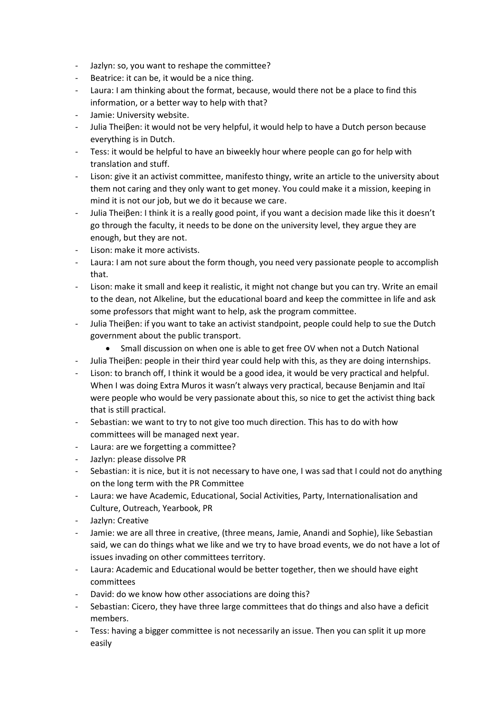- Jazlyn: so, you want to reshape the committee?
- Beatrice: it can be, it would be a nice thing.
- Laura: I am thinking about the format, because, would there not be a place to find this information, or a better way to help with that?
- Jamie: University website.
- Julia Theiβen: it would not be very helpful, it would help to have a Dutch person because everything is in Dutch.
- Tess: it would be helpful to have an biweekly hour where people can go for help with translation and stuff.
- Lison: give it an activist committee, manifesto thingy, write an article to the university about them not caring and they only want to get money. You could make it a mission, keeping in mind it is not our job, but we do it because we care.
- Julia Theiβen: I think it is a really good point, if you want a decision made like this it doesn't go through the faculty, it needs to be done on the university level, they argue they are enough, but they are not.
- Lison: make it more activists.
- Laura: I am not sure about the form though, you need very passionate people to accomplish that.
- Lison: make it small and keep it realistic, it might not change but you can try. Write an email to the dean, not Alkeline, but the educational board and keep the committee in life and ask some professors that might want to help, ask the program committee.
- Julia Theiβen: if you want to take an activist standpoint, people could help to sue the Dutch government about the public transport.
	- Small discussion on when one is able to get free OV when not a Dutch National
- Julia Theiβen: people in their third year could help with this, as they are doing internships.
- Lison: to branch off, I think it would be a good idea, it would be very practical and helpful. When I was doing Extra Muros it wasn't always very practical, because Benjamin and Itaï were people who would be very passionate about this, so nice to get the activist thing back that is still practical.
- Sebastian: we want to try to not give too much direction. This has to do with how committees will be managed next year.
- Laura: are we forgetting a committee?
- Jazlyn: please dissolve PR
- Sebastian: it is nice, but it is not necessary to have one, I was sad that I could not do anything on the long term with the PR Committee
- Laura: we have Academic, Educational, Social Activities, Party, Internationalisation and Culture, Outreach, Yearbook, PR
- Jazlyn: Creative
- Jamie: we are all three in creative, (three means, Jamie, Anandi and Sophie), like Sebastian said, we can do things what we like and we try to have broad events, we do not have a lot of issues invading on other committees territory.
- Laura: Academic and Educational would be better together, then we should have eight committees
- David: do we know how other associations are doing this?
- Sebastian: Cicero, they have three large committees that do things and also have a deficit members.
- Tess: having a bigger committee is not necessarily an issue. Then you can split it up more easily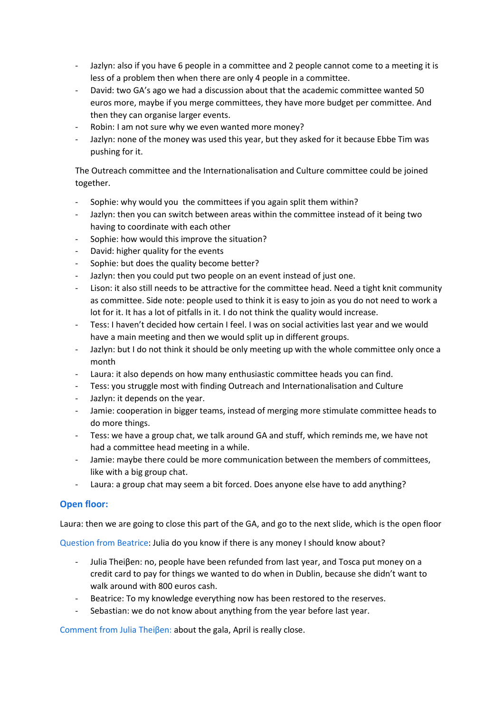- Jazlyn: also if you have 6 people in a committee and 2 people cannot come to a meeting it is less of a problem then when there are only 4 people in a committee.
- David: two GA's ago we had a discussion about that the academic committee wanted 50 euros more, maybe if you merge committees, they have more budget per committee. And then they can organise larger events.
- Robin: I am not sure why we even wanted more money?
- Jazlyn: none of the money was used this year, but they asked for it because Ebbe Tim was pushing for it.

The Outreach committee and the Internationalisation and Culture committee could be joined together.

- Sophie: why would you the committees if you again split them within?
- Jazlyn: then you can switch between areas within the committee instead of it being two having to coordinate with each other
- Sophie: how would this improve the situation?
- David: higher quality for the events
- Sophie: but does the quality become better?
- Jazlyn: then you could put two people on an event instead of just one.
- Lison: it also still needs to be attractive for the committee head. Need a tight knit community as committee. Side note: people used to think it is easy to join as you do not need to work a lot for it. It has a lot of pitfalls in it. I do not think the quality would increase.
- Tess: I haven't decided how certain I feel. I was on social activities last year and we would have a main meeting and then we would split up in different groups.
- Jazlyn: but I do not think it should be only meeting up with the whole committee only once a month
- Laura: it also depends on how many enthusiastic committee heads you can find.
- Tess: you struggle most with finding Outreach and Internationalisation and Culture
- Jazlyn: it depends on the year.
- Jamie: cooperation in bigger teams, instead of merging more stimulate committee heads to do more things.
- Tess: we have a group chat, we talk around GA and stuff, which reminds me, we have not had a committee head meeting in a while.
- Jamie: maybe there could be more communication between the members of committees, like with a big group chat.
- Laura: a group chat may seem a bit forced. Does anyone else have to add anything?

# **Open floor:**

Laura: then we are going to close this part of the GA, and go to the next slide, which is the open floor

Question from Beatrice: Julia do you know if there is any money I should know about?

- Julia Theiβen: no, people have been refunded from last year, and Tosca put money on a credit card to pay for things we wanted to do when in Dublin, because she didn't want to walk around with 800 euros cash.
- Beatrice: To my knowledge everything now has been restored to the reserves.
- Sebastian: we do not know about anything from the year before last year.

Comment from Julia Theiβen: about the gala, April is really close.